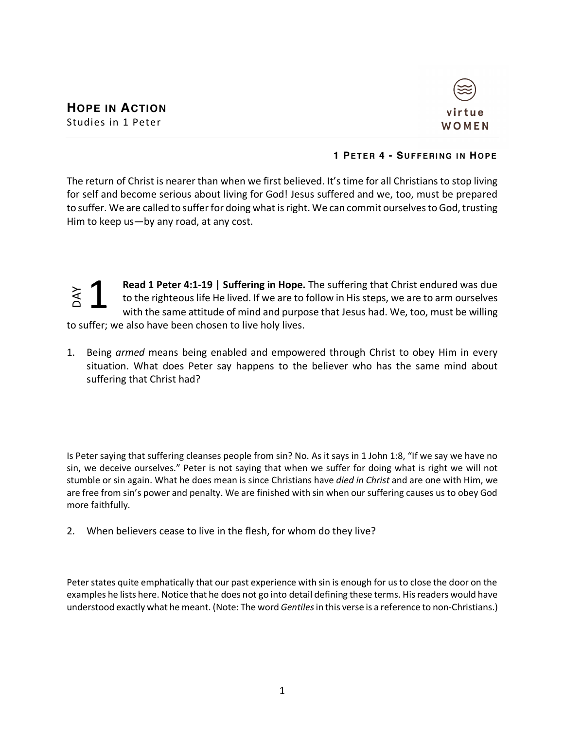

## **1 PETER 4 - SUFFERING IN HOPE**

The return of Christ is nearer than when we first believed. It's time for all Christians to stop living for self and become serious about living for God! Jesus suffered and we, too, must be prepared to suffer. We are called to suffer for doing what is right. We can commit ourselves to God, trusting Him to keep us—by any road, at any cost.

**Read 1 Peter 4:1-19 | Suffering in Hope.** The suffering that Christ endured was due to the righteous life He lived. If we are to follow in His steps, we are to arm ourselves with the same attitude of mind and purpose that Jesus had. We, too, must be willing to suffer; we also have been chosen to live holy lives. 1

1. Being *armed* means being enabled and empowered through Christ to obey Him in every situation. What does Peter say happens to the believer who has the same mind about suffering that Christ had?

Is Peter saying that suffering cleanses people from sin? No. As it says in 1 John 1:8, "If we say we have no sin, we deceive ourselves." Peter is not saying that when we suffer for doing what is right we will not stumble or sin again. What he does mean is since Christians have *died in Christ* and are one with Him, we are free from sin's power and penalty. We are finished with sin when our suffering causes us to obey God more faithfully. understood exactly what he mean being what the meant. (Note: The word *Gentiles* in this verse is a reference to the mean than the same attitude of mind and purpose that Jesus had. We, too, must be willing<br>to suffer; we al

2. When believers cease to live in the flesh, for whom do they live?

Peter states quite emphatically that our past experience with sin is enough for us to close the door on the examples he lists here. Notice that he does not go into detail defining these terms. His readers would have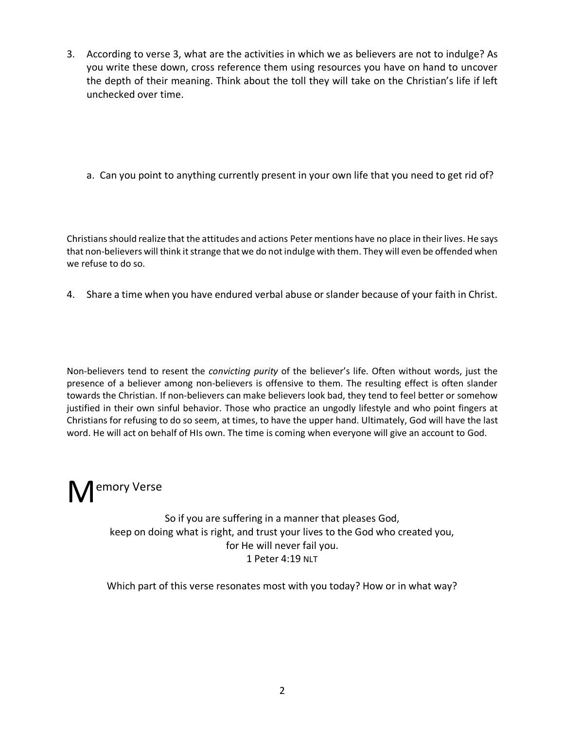- 3. According to verse 3, what are the activities in which we as believers are not to indulge? As you write these down, cross reference them using resources you have on hand to uncover the depth of their meaning. Think about the toll they will take on the Christian's life if left unchecked over time.
	- a. Can you point to anything currently present in your own life that you need to get rid of?

Christians should realize that the attitudes and actions Peter mentions have no place in their lives. He says that non-believers will think it strange that we do not indulge with them. They will even be offended when we refuse to do so.

4. Share a time when you have endured verbal abuse or slander because of your faith in Christ.

Non-believers tend to resent the *convicting purity* of the believer's life. Often without words, just the presence of a believer among non-believers is offensive to them. The resulting effect is often slander towards the Christian. If non-believers can make believers look bad, they tend to feel better or somehow justified in their own sinful behavior. Those who practice an ungodly lifestyle and who point fingers at Christians for refusing to do so seem, at times, to have the upper hand. Ultimately, God will have the last word. He will act on behalf of HIs own. The time is coming when everyone will give an account to God.

## M<sup>emory Verse</sup>

So if you are suffering in a manner that pleases God, keep on doing what is right, and trust your lives to the God who created you, for He will never fail you. 1 Peter 4:19 NLT

Which part of this verse resonates most with you today? How or in what way?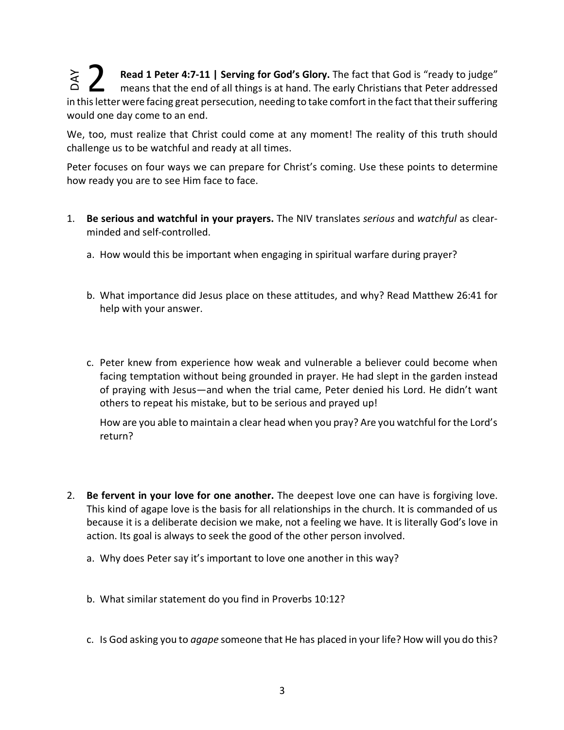**Read 1 Peter 4:7-11 | Serving for God's Glory.** The fact that God is "ready to judge" means that the end of all things is at hand. The early Christians that Peter addressed Fead 1 Peter 4:7-11 | Serving for God's Glory. The fact that God is "ready to judge"<br>
means that the end of all things is at hand. The early Christians that Peter addressed<br>
in this letter were facing great persecution, ne would one day come to an end. DAY

We, too, must realize that Christ could come at any moment! The reality of this truth should challenge us to be watchful and ready at all times.

Peter focuses on four ways we can prepare for Christ's coming. Use these points to determine how ready you are to see Him face to face.

- 1. **Be serious and watchful in your prayers.** The NIV translates *serious* and *watchful* as clearminded and self-controlled.
	- a. How would this be important when engaging in spiritual warfare during prayer?
	- b. What importance did Jesus place on these attitudes, and why? Read Matthew 26:41 for help with your answer.
	- c. Peter knew from experience how weak and vulnerable a believer could become when facing temptation without being grounded in prayer. He had slept in the garden instead of praying with Jesus—and when the trial came, Peter denied his Lord. He didn't want others to repeat his mistake, but to be serious and prayed up!

How are you able to maintain a clear head when you pray? Are you watchful for the Lord's return?

- 2. **Be fervent in your love for one another.** The deepest love one can have is forgiving love. This kind of agape love is the basis for all relationships in the church. It is commanded of us because it is a deliberate decision we make, not a feeling we have. It is literally God's love in action. Its goal is always to seek the good of the other person involved.
	- a. Why does Peter say it's important to love one another in this way?
	- b. What similar statement do you find in Proverbs 10:12?
	- c. Is God asking you to *agape* someone that He has placed in your life? How will you do this?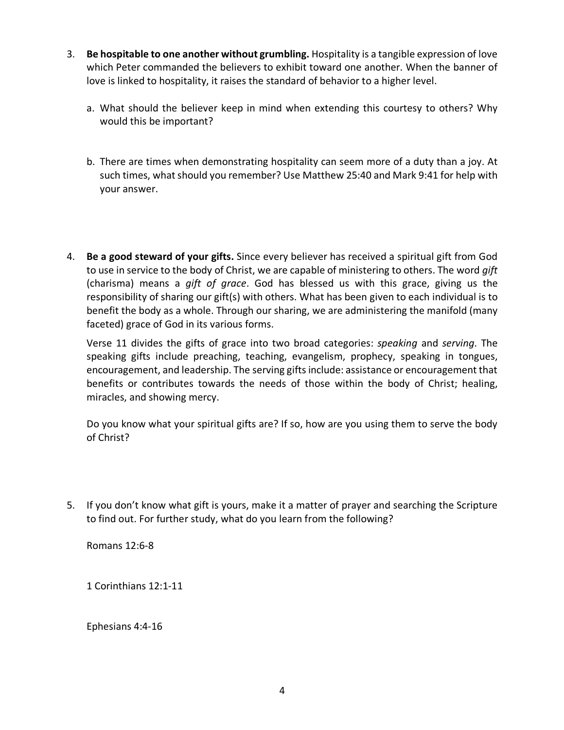- 3. **Be hospitable to one another without grumbling.** Hospitality is a tangible expression of love which Peter commanded the believers to exhibit toward one another. When the banner of love is linked to hospitality, it raises the standard of behavior to a higher level.
	- a. What should the believer keep in mind when extending this courtesy to others? Why would this be important?
	- b. There are times when demonstrating hospitality can seem more of a duty than a joy. At such times, what should you remember? Use Matthew 25:40 and Mark 9:41 for help with your answer.
- 4. **Be a good steward of your gifts.** Since every believer has received a spiritual gift from God to use in service to the body of Christ, we are capable of ministering to others. The word *gift* (charisma) means a *gift of grace*. God has blessed us with this grace, giving us the responsibility of sharing our gift(s) with others. What has been given to each individual is to benefit the body as a whole. Through our sharing, we are administering the manifold (many faceted) grace of God in its various forms.

Verse 11 divides the gifts of grace into two broad categories: *speaking* and *serving*. The speaking gifts include preaching, teaching, evangelism, prophecy, speaking in tongues, encouragement, and leadership. The serving gifts include: assistance or encouragement that benefits or contributes towards the needs of those within the body of Christ; healing, miracles, and showing mercy.

Do you know what your spiritual gifts are? If so, how are you using them to serve the body of Christ?

5. If you don't know what gift is yours, make it a matter of prayer and searching the Scripture to find out. For further study, what do you learn from the following?

Romans 12:6-8

1 Corinthians 12:1-11

Ephesians 4:4-16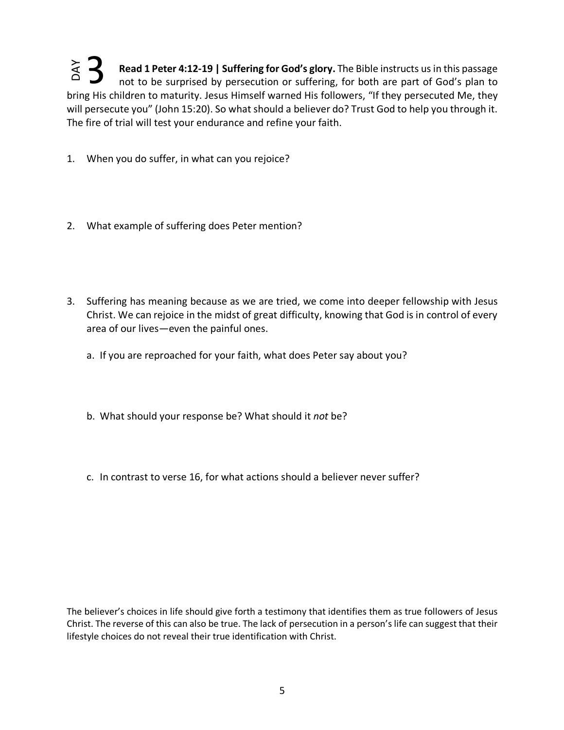**Read 1 Peter 4:12-19 | Suffering for God's glory.** The Bible instructs us in this passage not to be surprised by persecution or suffering, for both are part of God's plan to bring His children to maturity. Jesus Himself warned His followers, "If they persecuted Me, they will persecute you" (John 15:20). So what should a believer do? Trust God to help you through it. The fire of trial will test your endurance and refine your faith. Let the state of the state of the state of the state of the state of the state in one of the state in the state in the state in the state in the state in the state in the state in the state in the state in the state in th 3

- 1. When you do suffer, in what can you rejoice?
- 2. What example of suffering does Peter mention?
- 3. Suffering has meaning because as we are tried, we come into deeper fellowship with Jesus Christ. We can rejoice in the midst of great difficulty, knowing that God is in control of every area of our lives—even the painful ones.
	- a. If you are reproached for your faith, what does Peter say about you?
	- b. What should your response be? What should it *not* be?
	- c. In contrast to verse 16, for what actions should a believer never suffer?

The believer's choices in life should give forth a testimony that identifies them as true followers of Jesus Christ. The reverse of this can also be true. The lack of persecution in a person's life can suggest that their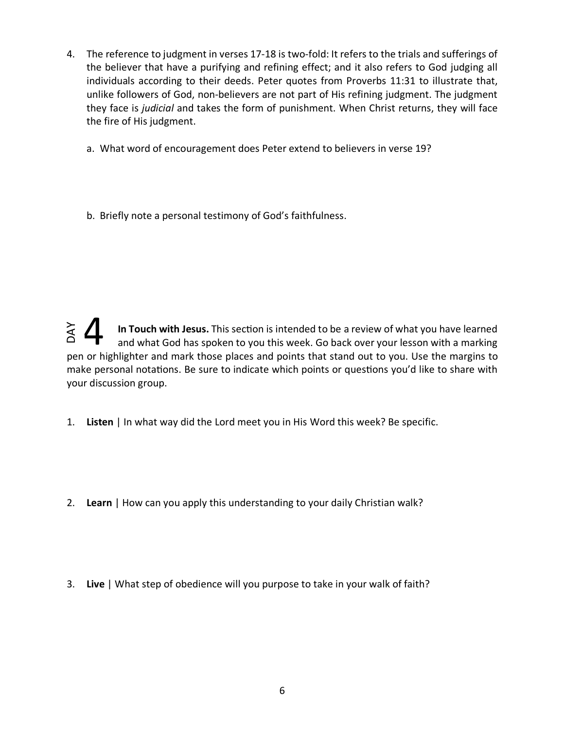- 4. The reference to judgment in verses 17-18 is two-fold: It refers to the trials and sufferings of the believer that have a purifying and refining effect; and it also refers to God judging all individuals according to their deeds. Peter quotes from Proverbs 11:31 to illustrate that, unlike followers of God, non-believers are not part of His refining judgment. The judgment they face is *judicial* and takes the form of punishment. When Christ returns, they will face the fire of His judgment.
	- a. What word of encouragement does Peter extend to believers in verse 19?
	- b. Briefly note a personal testimony of God's faithfulness.

**In Touch with Jesus.** This secion is intended to be a review of what you have learned and what God has spoken to you this week. Go back over your lesson with a marking pen or highlighter and mark those places and points that stand out to you. Use the margins to make personal notations. Be sure to indicate which points or questions you'd like to share with your discussion group. 1. **Lind Touch with Jesus.** This section is intended to be a review of what you and what God has spoken to you this week. Go back over your lesson pen or highlighter and mark those places and points that stand out to you.  $\frac{2}{3}$   $\Delta$ 

- 1. **Listen** | In what way did the Lord meet you in His Word this week? Be specific.
- 2. **Learn** | How can you apply this understanding to your daily Christian walk?
-